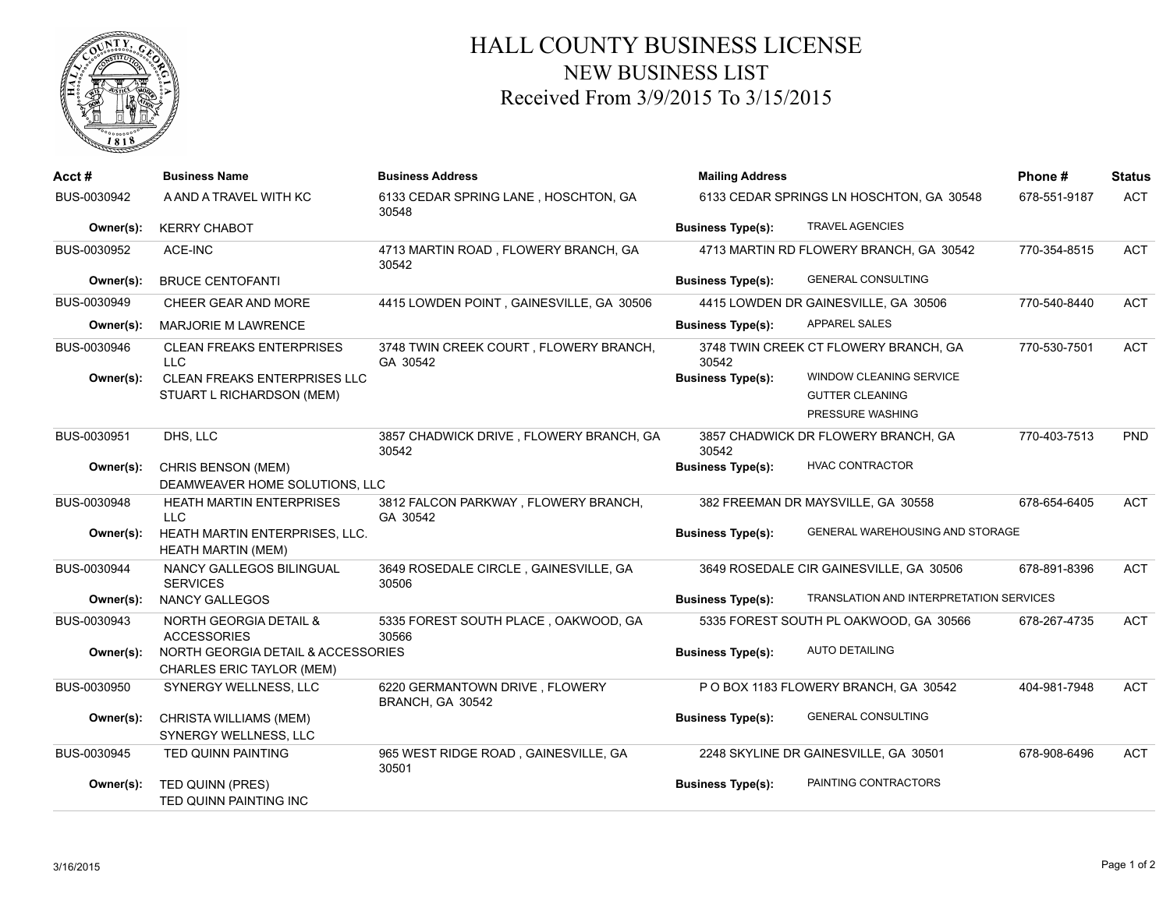

## HALL COUNTY BUSINESS LICENSE NEW BUSINESS LIST Received From 3/9/2015 To 3/15/2015

| Acct#       | <b>Business Name</b>                                                   | <b>Business Address</b>                            | <b>Mailing Address</b>   |                                                                       | Phone#       | <b>Status</b> |
|-------------|------------------------------------------------------------------------|----------------------------------------------------|--------------------------|-----------------------------------------------------------------------|--------------|---------------|
| BUS-0030942 | A AND A TRAVEL WITH KC                                                 | 6133 CEDAR SPRING LANE, HOSCHTON, GA<br>30548      |                          | 6133 CEDAR SPRINGS LN HOSCHTON, GA 30548                              | 678-551-9187 | <b>ACT</b>    |
| Owner(s):   | <b>KERRY CHABOT</b>                                                    |                                                    | <b>Business Type(s):</b> | <b>TRAVEL AGENCIES</b>                                                |              |               |
| BUS-0030952 | ACE-INC                                                                | 4713 MARTIN ROAD, FLOWERY BRANCH, GA<br>30542      |                          | 4713 MARTIN RD FLOWERY BRANCH, GA 30542                               | 770-354-8515 | <b>ACT</b>    |
| Owner(s):   | <b>BRUCE CENTOFANTI</b>                                                |                                                    | <b>Business Type(s):</b> | <b>GENERAL CONSULTING</b>                                             |              |               |
| BUS-0030949 | CHEER GEAR AND MORE                                                    | 4415 LOWDEN POINT, GAINESVILLE, GA 30506           |                          | 4415 LOWDEN DR GAINESVILLE, GA 30506                                  | 770-540-8440 | <b>ACT</b>    |
| Owner(s):   | <b>MARJORIE M LAWRENCE</b>                                             |                                                    | <b>Business Type(s):</b> | <b>APPAREL SALES</b>                                                  |              |               |
| BUS-0030946 | <b>CLEAN FREAKS ENTERPRISES</b><br>$\sqcup$ C                          | 3748 TWIN CREEK COURT, FLOWERY BRANCH,<br>GA 30542 | 30542                    | 3748 TWIN CREEK CT FLOWERY BRANCH, GA                                 | 770-530-7501 | <b>ACT</b>    |
| Owner(s):   | <b>CLEAN FREAKS ENTERPRISES LLC</b><br>STUART L RICHARDSON (MEM)       |                                                    | <b>Business Type(s):</b> | WINDOW CLEANING SERVICE<br><b>GUTTER CLEANING</b><br>PRESSURE WASHING |              |               |
| BUS-0030951 | DHS, LLC                                                               | 3857 CHADWICK DRIVE, FLOWERY BRANCH, GA<br>30542   | 30542                    | 3857 CHADWICK DR FLOWERY BRANCH, GA                                   | 770-403-7513 | <b>PND</b>    |
| Owner(s):   | CHRIS BENSON (MEM)<br>DEAMWEAVER HOME SOLUTIONS. LLC                   |                                                    | <b>Business Type(s):</b> | <b>HVAC CONTRACTOR</b>                                                |              |               |
| BUS-0030948 | HEATH MARTIN ENTERPRISES<br>LLC                                        | 3812 FALCON PARKWAY, FLOWERY BRANCH,<br>GA 30542   |                          | 382 FREEMAN DR MAYSVILLE, GA 30558                                    | 678-654-6405 | <b>ACT</b>    |
| Owner(s):   | HEATH MARTIN ENTERPRISES, LLC.<br><b>HEATH MARTIN (MEM)</b>            |                                                    | <b>Business Type(s):</b> | GENERAL WAREHOUSING AND STORAGE                                       |              |               |
| BUS-0030944 | NANCY GALLEGOS BILINGUAL<br><b>SERVICES</b>                            | 3649 ROSEDALE CIRCLE, GAINESVILLE, GA<br>30506     |                          | 3649 ROSEDALE CIR GAINESVILLE, GA 30506                               | 678-891-8396 | <b>ACT</b>    |
| Owner(s):   | <b>NANCY GALLEGOS</b>                                                  |                                                    | <b>Business Type(s):</b> | TRANSLATION AND INTERPRETATION SERVICES                               |              |               |
| BUS-0030943 | <b>NORTH GEORGIA DETAIL &amp;</b><br><b>ACCESSORIES</b>                | 5335 FOREST SOUTH PLACE, OAKWOOD, GA<br>30566      |                          | 5335 FOREST SOUTH PL OAKWOOD, GA 30566                                | 678-267-4735 | <b>ACT</b>    |
| Owner(s):   | NORTH GEORGIA DETAIL & ACCESSORIES<br><b>CHARLES ERIC TAYLOR (MEM)</b> |                                                    | <b>Business Type(s):</b> | <b>AUTO DETAILING</b>                                                 |              |               |
| BUS-0030950 | SYNERGY WELLNESS, LLC                                                  | 6220 GERMANTOWN DRIVE, FLOWERY<br>BRANCH, GA 30542 |                          | P O BOX 1183 FLOWERY BRANCH, GA 30542                                 | 404-981-7948 | <b>ACT</b>    |
| Owner(s):   | CHRISTA WILLIAMS (MEM)<br>SYNERGY WELLNESS, LLC                        |                                                    | <b>Business Type(s):</b> | <b>GENERAL CONSULTING</b>                                             |              |               |
| BUS-0030945 | <b>TED QUINN PAINTING</b>                                              | 965 WEST RIDGE ROAD, GAINESVILLE, GA<br>30501      |                          | 2248 SKYLINE DR GAINESVILLE, GA 30501                                 | 678-908-6496 | <b>ACT</b>    |
| Owner(s):   | TED QUINN (PRES)<br>TED QUINN PAINTING INC                             |                                                    | <b>Business Type(s):</b> | PAINTING CONTRACTORS                                                  |              |               |